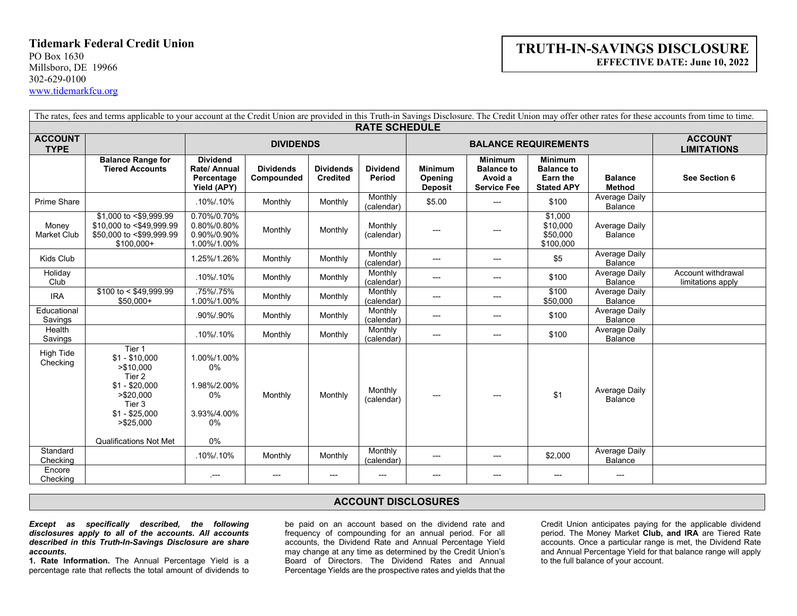## **Tidemark Federal Credit Union**

PO Box 1630 Millsboro, DE 19966 302-629-0100 [www.tidemarkfcu.org](http://www.tidemarkfcu.org/)

## **TRUTH-IN-SAVINGS DISCLOSURE EFFECTIVE DATE: June 10, 2022**

| The rates, fees and terms applicable to your account at the Credit Union are provided in this Truth-in Savings Disclosure. The Credit Union may offer other rates for these accounts from time to time. |                                                                                                                                                             |                                                                   |                                |                                     |                           |                                             |                                                                      |                                                                      |                                        |                                         |
|---------------------------------------------------------------------------------------------------------------------------------------------------------------------------------------------------------|-------------------------------------------------------------------------------------------------------------------------------------------------------------|-------------------------------------------------------------------|--------------------------------|-------------------------------------|---------------------------|---------------------------------------------|----------------------------------------------------------------------|----------------------------------------------------------------------|----------------------------------------|-----------------------------------------|
| <b>RATE SCHEDULE</b>                                                                                                                                                                                    |                                                                                                                                                             |                                                                   |                                |                                     |                           |                                             |                                                                      |                                                                      |                                        |                                         |
| <b>ACCOUNT</b><br><b>TYPE</b>                                                                                                                                                                           |                                                                                                                                                             | <b>DIVIDENDS</b>                                                  |                                |                                     |                           | <b>BALANCE REQUIREMENTS</b>                 |                                                                      |                                                                      |                                        | <b>ACCOUNT</b><br><b>LIMITATIONS</b>    |
|                                                                                                                                                                                                         | <b>Balance Range for</b><br><b>Tiered Accounts</b>                                                                                                          | <b>Dividend</b><br>Rate/ Annual<br>Percentage<br>Yield (APY)      | <b>Dividends</b><br>Compounded | <b>Dividends</b><br><b>Credited</b> | <b>Dividend</b><br>Period | <b>Minimum</b><br>Opening<br><b>Deposit</b> | <b>Minimum</b><br><b>Balance to</b><br>Avoid a<br><b>Service Fee</b> | <b>Minimum</b><br><b>Balance to</b><br>Earn the<br><b>Stated APY</b> | <b>Balance</b><br>Method               | See Section 6                           |
| <b>Prime Share</b>                                                                                                                                                                                      |                                                                                                                                                             | .10%/.10%                                                         | Monthly                        | Monthly                             | Monthly<br>(calendar)     | \$5.00                                      | ---                                                                  | \$100                                                                | Average Daily<br>Balance               |                                         |
| Money<br><b>Market Club</b>                                                                                                                                                                             | \$1,000 to <\$9,999.99<br>\$10,000 to <\$49,999.99<br>\$50,000 to <\$99,999.99<br>$$100,000+$                                                               | 0.70%/0.70%<br>0.80%/0.80%<br>0.90%/0.90%<br>1.00%/1.00%          | Monthly                        | Monthly                             | Monthly<br>(calendar)     | $---$                                       | ---                                                                  | \$1,000<br>\$10,000<br>\$50,000<br>\$100,000                         | <b>Average Daily</b><br><b>Balance</b> |                                         |
| Kids Club                                                                                                                                                                                               |                                                                                                                                                             | 1.25%/1.26%                                                       | Monthly                        | Monthly                             | Monthly<br>(calendar)     | ---                                         | ---                                                                  | \$5                                                                  | Average Daily<br>Balance               |                                         |
| Holiday<br>Club                                                                                                                                                                                         |                                                                                                                                                             | .10%/.10%                                                         | Monthly                        | Monthly                             | Monthly<br>(calendar)     | $---$                                       | ---                                                                  | \$100                                                                | Average Daily<br><b>Balance</b>        | Account withdrawal<br>limitations apply |
| <b>IRA</b>                                                                                                                                                                                              | $$100$ to < \$49,999.99<br>$$50,000+$                                                                                                                       | .75%/.75%<br>1.00%/1.00%                                          | Monthly                        | Monthly                             | Monthly<br>(calendar)     | $---$                                       | ---                                                                  | \$100<br>\$50,000                                                    | <b>Average Daily</b><br><b>Balance</b> |                                         |
| Educational<br>Savings                                                                                                                                                                                  |                                                                                                                                                             | .90%/.90%                                                         | Monthly                        | Monthly                             | Monthly<br>(calendar)     | $---$                                       | ---                                                                  | \$100                                                                | Average Daily<br>Balance               |                                         |
| Health<br>Savings                                                                                                                                                                                       |                                                                                                                                                             | .10%/.10%                                                         | Monthly                        | Monthly                             | Monthly<br>(calendar)     | ---                                         | ---                                                                  | \$100                                                                | <b>Average Daily</b><br>Balance        |                                         |
| <b>High Tide</b><br>Checking                                                                                                                                                                            | Tier 1<br>$$1 - $10,000$<br>> \$10,000<br>Tier 2<br>$$1 - $20.000$<br>> \$20,000<br>Tier 3<br>$$1 - $25,000$<br>> \$25,000<br><b>Qualifications Not Met</b> | 1.00%/1.00%<br>0%<br>1.98%/2.00%<br>0%<br>3.93%/4.00%<br>0%<br>0% | Monthly                        | Monthly                             | Monthly<br>(calendar)     | $---$                                       | ---                                                                  | \$1                                                                  | <b>Average Daily</b><br><b>Balance</b> |                                         |
| Standard<br>Checking                                                                                                                                                                                    |                                                                                                                                                             | .10%/.10%                                                         | Monthly                        | Monthly                             | Monthly<br>(calendar)     | $---$                                       | ---                                                                  | \$2,000                                                              | Average Daily<br>Balance               |                                         |
| Encore<br>Checking                                                                                                                                                                                      |                                                                                                                                                             | $\sim$                                                            | $---$                          | $---$                               | ---                       | ---                                         | ---                                                                  | $---$                                                                | ---                                    |                                         |

## **ACCOUNT DISCLOSURES**

*Except as specifically described, the following disclosures apply to all of the accounts. All accounts described in this Truth-In-Savings Disclosure are share accounts.*

**1. Rate Information.** The Annual Percentage Yield is a percentage rate that reflects the total amount of dividends to be paid on an account based on the dividend rate and frequency of compounding for an annual period. For all accounts, the Dividend Rate and Annual Percentage Yield may change at any time as determined by the Credit Union's Board of Directors. The Dividend Rates and Annual Percentage Yields are the prospective rates and yields that the

Credit Union anticipates paying for the applicable dividend period. The Money Market **Club, and IRA** are Tiered Rate accounts. Once a particular range is met, the Dividend Rate and Annual Percentage Yield for that balance range will apply to the full balance of your account.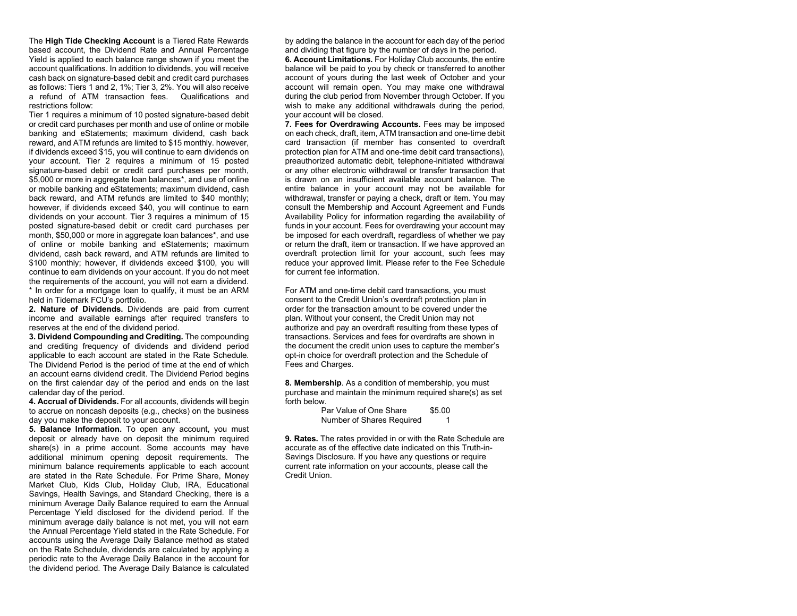The **High Tide Checking Account** is a Tiered Rate Rewards based account, the Dividend Rate and Annual Percentage Yield is applied to each balance range shown if you meet the account qualifications. In addition to dividends, you will receive cash back on signature-based debit and credit card purchases as follows: Tiers 1 and 2, 1%; Tier 3, 2%. You will also receive a refund of ATM transaction fees. Qualifications and restrictions follow:

Tier 1 requires a minimum of 10 posted signature-based debit or credit card purchases per month and use of online or mobile banking and eStatements; maximum dividend, cash back reward, and ATM refunds are limited to \$15 monthly. however, if dividends exceed \$15, you will continue to earn dividends on your account. Tier 2 requires a minimum of 15 posted signature-based debit or credit card purchases per month, \$5,000 or more in aggregate loan balances\*, and use of online or mobile banking and eStatements; maximum dividend, cash back reward, and ATM refunds are limited to \$40 monthly; however, if dividends exceed \$40, you will continue to earn dividends on your account. Tier 3 requires a minimum of 15 posted signature-based debit or credit card purchases per month, \$50,000 or more in aggregate loan balances\*, and use of online or mobile banking and eStatements; maximum dividend, cash back reward, and ATM refunds are limited to \$100 monthly; however, if dividends exceed \$100, you will continue to earn dividends on your account. If you do not meet the requirements of the account, you will not earn a dividend. \* In order for a mortgage loan to qualify, it must be an ARM held in Tidemark FCU's portfolio.

**2. Nature of Dividends.** Dividends are paid from current income and available earnings after required transfers to reserves at the end of the dividend period.

**3. Dividend Compounding and Crediting.** The compounding and crediting frequency of dividends and dividend period applicable to each account are stated in the Rate Schedule. The Dividend Period is the period of time at the end of which an account earns dividend credit. The Dividend Period begins on the first calendar day of the period and ends on the last calendar day of the period.

**4. Accrual of Dividends.** For all accounts, dividends will begin to accrue on noncash deposits (e.g., checks) on the business day you make the deposit to your account.

**5. Balance Information.** To open any account, you must deposit or already have on deposit the minimum required share(s) in a prime account. Some accounts may have additional minimum opening deposit requirements. The minimum balance requirements applicable to each account are stated in the Rate Schedule. For Prime Share, Money Market Club, Kids Club, Holiday Club, IRA, Educational Savings, Health Savings, and Standard Checking, there is a minimum Average Daily Balance required to earn the Annual Percentage Yield disclosed for the dividend period. If the minimum average daily balance is not met, you will not earn the Annual Percentage Yield stated in the Rate Schedule. For accounts using the Average Daily Balance method as stated on the Rate Schedule, dividends are calculated by applying a periodic rate to the Average Daily Balance in the account for the dividend period. The Average Daily Balance is calculated

by adding the balance in the account for each day of the period and dividing that figure by the number of days in the period.

**6. Account Limitations.** For Holiday Club accounts, the entire balance will be paid to you by check or transferred to another account of yours during the last week of October and your account will remain open. You may make one withdrawal during the club period from November through October. If you wish to make any additional withdrawals during the period, your account will be closed.

**7. Fees for Overdrawing Accounts.** Fees may be imposed on each check, draft, item, ATM transaction and one-time debit card transaction (if member has consented to overdraft protection plan for ATM and one-time debit card transactions), preauthorized automatic debit, telephone-initiated withdrawal or any other electronic withdrawal or transfer transaction that is drawn on an insufficient available account balance. The entire balance in your account may not be available for withdrawal, transfer or paying a check, draft or item. You may consult the Membership and Account Agreement and Funds Availability Policy for information regarding the availability of funds in your account. Fees for overdrawing your account may be imposed for each overdraft, regardless of whether we pay or return the draft, item or transaction. If we have approved an overdraft protection limit for your account, such fees may reduce your approved limit. Please refer to the Fee Schedule for current fee information.

For ATM and one-time debit card transactions, you must consent to the Credit Union's overdraft protection plan in order for the transaction amount to be covered under the plan. Without your consent, the Credit Union may not authorize and pay an overdraft resulting from these types of transactions. Services and fees for overdrafts are shown in the document the credit union uses to capture the member's opt-in choice for overdraft protection and the Schedule of Fees and Charges.

**8. Membership**. As a condition of membership, you must purchase and maintain the minimum required share(s) as set forth below.

| Par Value of One Share    | \$5.00 |
|---------------------------|--------|
| Number of Shares Required | 1      |

**9. Rates.** The rates provided in or with the Rate Schedule are accurate as of the effective date indicated on this Truth-in-Savings Disclosure. If you have any questions or require current rate information on your accounts, please call the Credit Union.